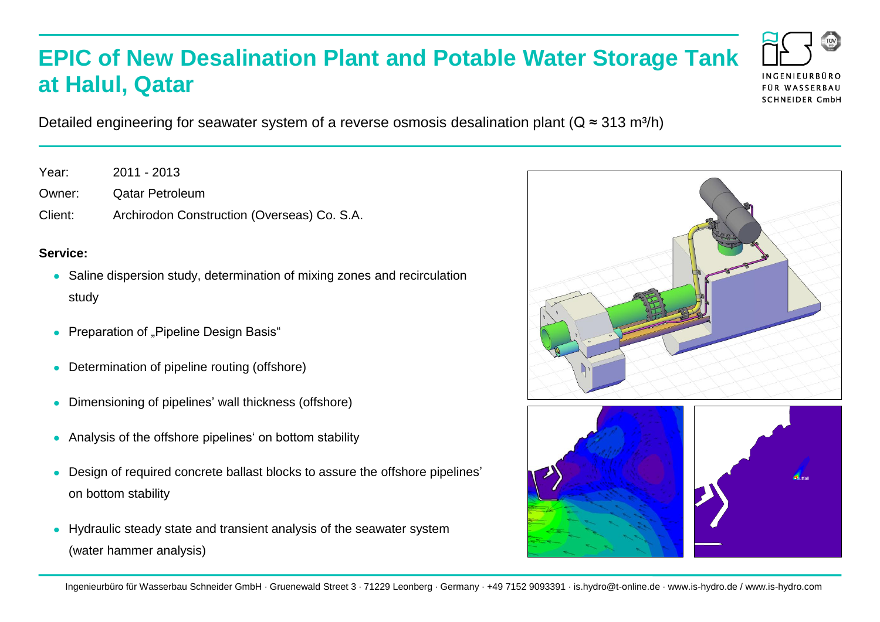## **EPIC of New Desalination Plant and Potable Water Storage Tank at Halul, Qatar**

Detailed engineering for seawater system of a reverse osmosis desalination plant ( $Q \approx 313$  m<sup>3</sup>/h)

Year: 2011 - 2013

Owner: Qatar Petroleum

Client: Archirodon Construction (Overseas) Co. S.A.

## **Service:**

- Saline dispersion study, determination of mixing zones and recirculation study
- Preparation of "Pipeline Design Basis"
- Determination of pipeline routing (offshore)
- Dimensioning of pipelines' wall thickness (offshore)
- Analysis of the offshore pipelines' on bottom stability  $\bullet$
- Design of required concrete ballast blocks to assure the offshore pipelines' on bottom stability
- Hydraulic steady state and transient analysis of the seawater system (water hammer analysis)